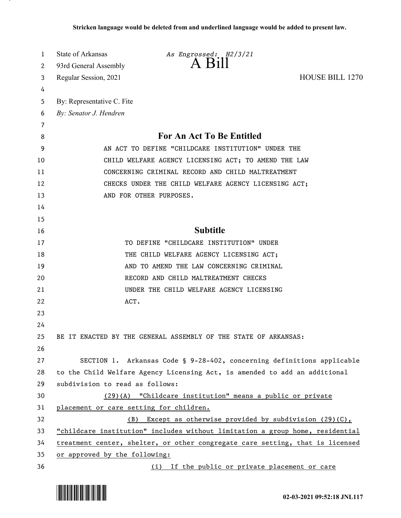| 1      | <b>State of Arkansas</b>                                                      | As Engrossed: H2/3/21<br>$A$ Bill                                             |                        |
|--------|-------------------------------------------------------------------------------|-------------------------------------------------------------------------------|------------------------|
| 2      | 93rd General Assembly                                                         |                                                                               |                        |
| 3      | Regular Session, 2021                                                         |                                                                               | <b>HOUSE BILL 1270</b> |
| 4      |                                                                               |                                                                               |                        |
| 5      | By: Representative C. Fite                                                    |                                                                               |                        |
| 6      | By: Senator J. Hendren                                                        |                                                                               |                        |
| 7<br>8 |                                                                               | <b>For An Act To Be Entitled</b>                                              |                        |
| 9      | AN ACT TO DEFINE "CHILDCARE INSTITUTION" UNDER THE                            |                                                                               |                        |
| 10     | CHILD WELFARE AGENCY LICENSING ACT; TO AMEND THE LAW                          |                                                                               |                        |
| 11     | CONCERNING CRIMINAL RECORD AND CHILD MALTREATMENT                             |                                                                               |                        |
| 12     | CHECKS UNDER THE CHILD WELFARE AGENCY LICENSING ACT;                          |                                                                               |                        |
| 13     |                                                                               | AND FOR OTHER PURPOSES.                                                       |                        |
| 14     |                                                                               |                                                                               |                        |
| 15     |                                                                               |                                                                               |                        |
| 16     |                                                                               | <b>Subtitle</b>                                                               |                        |
| 17     |                                                                               | TO DEFINE "CHILDCARE INSTITUTION" UNDER                                       |                        |
| 18     |                                                                               | THE CHILD WELFARE AGENCY LICENSING ACT;                                       |                        |
| 19     |                                                                               | AND TO AMEND THE LAW CONCERNING CRIMINAL                                      |                        |
| 20     |                                                                               | RECORD AND CHILD MALTREATMENT CHECKS                                          |                        |
| 21     |                                                                               | UNDER THE CHILD WELFARE AGENCY LICENSING                                      |                        |
| 22     | ACT.                                                                          |                                                                               |                        |
| 23     |                                                                               |                                                                               |                        |
| 24     |                                                                               |                                                                               |                        |
| 25     |                                                                               | BE IT ENACTED BY THE GENERAL ASSEMBLY OF THE STATE OF ARKANSAS:               |                        |
| 26     |                                                                               |                                                                               |                        |
| 27     |                                                                               | SECTION 1. Arkansas Code § 9-28-402, concerning definitions applicable        |                        |
| 28     |                                                                               | to the Child Welfare Agency Licensing Act, is amended to add an additional    |                        |
| 29     | subdivision to read as follows:                                               |                                                                               |                        |
| 30     |                                                                               | $(29)(A)$ "Childcare institution" means a public or private                   |                        |
| 31     | placement or care setting for children.                                       |                                                                               |                        |
| 32     | (B)                                                                           | Except as otherwise provided by subdivision $(29)(C)$ ,                       |                        |
| 33     |                                                                               | "childcare institution" includes without limitation a group home, residential |                        |
| 34     | treatment center, shelter, or other congregate care setting, that is licensed |                                                                               |                        |
| 35     | or approved by the following:                                                 |                                                                               |                        |
| 36     |                                                                               | (i) If the public or private placement or care                                |                        |

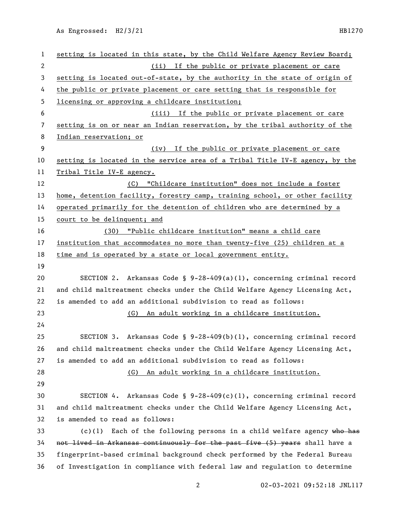As Engrossed: H2/3/21 HB1270

| $\mathbf{1}$             | setting is located in this state, by the Child Welfare Agency Review Board;  |  |  |
|--------------------------|------------------------------------------------------------------------------|--|--|
| $\mathbf{2}$             | If the public or private placement or care<br>(ii)                           |  |  |
| 3                        | setting is located out-of-state, by the authority in the state of origin of  |  |  |
| 4                        | the public or private placement or care setting that is responsible for      |  |  |
| 5                        | licensing or approving a childcare institution;                              |  |  |
| 6                        | (iii) If the public or private placement or care                             |  |  |
| $\overline{\phantom{a}}$ | setting is on or near an Indian reservation, by the tribal authority of the  |  |  |
| 8                        | Indian reservation; or                                                       |  |  |
| 9                        | (iv) If the public or private placement or care                              |  |  |
| 10                       | setting is located in the service area of a Tribal Title IV-E agency, by the |  |  |
| 11                       | Tribal Title IV-E agency.                                                    |  |  |
| 12                       | (C) "Childcare institution" does not include a foster                        |  |  |
| 13                       | home, detention facility, forestry camp, training school, or other facility  |  |  |
| 14                       | operated primarily for the detention of children who are determined by a     |  |  |
| 15                       | court to be delinquent; and                                                  |  |  |
| 16                       | (30) "Public childcare institution" means a child care                       |  |  |
| 17                       | institution that accommodates no more than twenty-five (25) children at a    |  |  |
| 18                       | time and is operated by a state or local government entity.                  |  |  |
| 19                       |                                                                              |  |  |
| 20                       | SECTION 2. Arkansas Code § 9-28-409(a)(1), concerning criminal record        |  |  |
| 21                       | and child maltreatment checks under the Child Welfare Agency Licensing Act,  |  |  |
| 22                       | is amended to add an additional subdivision to read as follows:              |  |  |
| 23                       | An adult working in a childcare institution.<br>(G)                          |  |  |
| 24                       |                                                                              |  |  |
| 25                       | Arkansas Code § 9-28-409(b)(1), concerning criminal record<br>SECTION 3.     |  |  |
| 26                       | and child maltreatment checks under the Child Welfare Agency Licensing Act,  |  |  |
| 27                       | is amended to add an additional subdivision to read as follows:              |  |  |
| 28                       | An adult working in a childcare institution.<br>(G)                          |  |  |
| 29                       |                                                                              |  |  |
| 30                       | SECTION 4. Arkansas Code § $9-28-409(c)(1)$ , concerning criminal record     |  |  |
| 31                       | and child maltreatment checks under the Child Welfare Agency Licensing Act,  |  |  |
| 32                       | is amended to read as follows:                                               |  |  |
| 33                       | Each of the following persons in a child welfare agency who has<br>(c)(1)    |  |  |
| 34                       | not lived in Arkansas continuously for the past five (5) years shall have a  |  |  |
| 35                       | fingerprint-based criminal background check performed by the Federal Bureau  |  |  |
| 36                       | of Investigation in compliance with federal law and regulation to determine  |  |  |

02-03-2021 09:52:18 JNL117